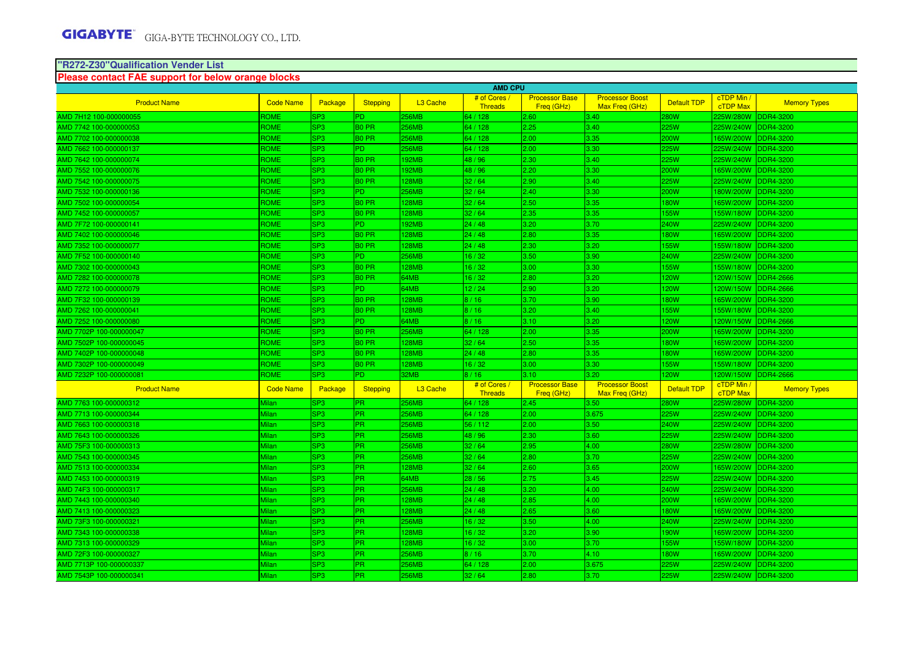# **"R272-Z30"Qualification Vender List Please contact FAE support for below orange blocks**

|                         |                  |                 |                   |                      | <b>AMD CPU</b>                 |                                     |                                          |                    |                             |                     |
|-------------------------|------------------|-----------------|-------------------|----------------------|--------------------------------|-------------------------------------|------------------------------------------|--------------------|-----------------------------|---------------------|
| <b>Product Name</b>     | <b>Code Name</b> | Package         | <b>Stepping</b>   | L <sub>3</sub> Cache | # of Cores<br><b>Threads</b>   | <b>Processor Base</b><br>Freq (GHz) | <b>Processor Boost</b><br>Max Freg (GHz) | <b>Default TDP</b> | cTDP Min /<br>cTDP Max      | <b>Memory Types</b> |
| AMD 7H12 100-000000055  | ROME             | SP3             | PD.               | 56MB                 | 64 / 128                       | 2.60                                | 3.40                                     | 280W               | 225W/280W                   | <b>DDR4-3200</b>    |
| AMD 7742 100-000000053  | <b>ROME</b>      | SP <sub>3</sub> | <b>BO PR</b>      | 256MB                | 64 / 128                       | 2.25                                | 3.40                                     | 25W                | 225W/240W                   | <b>DDR4-3200</b>    |
| AMD 7702 100-000000038  | <b>ROME</b>      | SP <sub>3</sub> | <b>BO PR</b>      | 256MB                | 64 / 128                       | 2.00                                | 3.35                                     | 200W               | 165W/200W                   | DDR4-3200           |
| AMD 7662 100-000000137  | <b>ROME</b>      | SP <sub>3</sub> | PD.               | <b>56MB</b>          | 64 / 128                       | 2.00                                | 3.30                                     | 25W                | 225W/240W                   | <b>DDR4-3200</b>    |
| AMD 7642 100-000000074  | ROME             | SP3             | B0 PR             | 92MB                 | 48 / 96                        | 2.30                                | 3.40                                     | 25W                | 225W/240W                   | <b>DDR4-3200</b>    |
| MD 7552 100-000000076   | <b>ROME</b>      | SP <sub>3</sub> | <b>BO PR</b>      | 92MB                 | 48 / 96                        | 2.20                                | 3.30                                     | 200W               | 165W/200W                   | <b>DDR4-3200</b>    |
| AMD 7542 100-000000075  | <b>ROME</b>      | SP <sub>3</sub> | <b>BO PR</b>      | <b>28MB</b>          | 32/64                          | 2.90                                | 3.40                                     | 25W                | 225W/240W                   | <b>DDR4-3200</b>    |
| AMD 7532 100-000000136  | <b>ROME</b>      | SP <sub>3</sub> | PD.               | 256MB                | 32/64                          | 2.40                                | 3.30                                     | 200W               | 180W/200W                   | <b>DDR4-3200</b>    |
| AMD 7502 100-000000054  | ROME             | SP3             | B0 PR             | 28MB                 | 32/64                          | 2.50                                | 3.35                                     | 80W                | 165W/200W                   | <b>DDR4-3200</b>    |
| AMD 7452 100-000000057  | ROME             | SP <sub>3</sub> | B0 PR             | 28MB                 | 32/64                          | 2.35                                | 3.35                                     | 55W                | 55W/180W DDR4-3200          |                     |
| MD 7F72 100-000000141   | <b>ROME</b>      | SP <sub>3</sub> | PD.               | 92MB                 | 24/48                          | 3.20                                | 3.70                                     | 240W               | 225W/240W                   | <b>DDR4-3200</b>    |
| AMD 7402 100-000000046  | <b>ROME</b>      | SP <sub>3</sub> | <b>BO PR</b>      | <b>28MB</b>          | 24/48                          | 2.80                                | 3.35                                     | 80W                | 165W/200W                   | <b>DDR4-3200</b>    |
| AMD 7352 100-000000077  | <b>ROME</b>      | SP <sub>3</sub> | <b>BO PR</b>      | <b>28MB</b>          | 24/48                          | 2.30                                | 3.20                                     | 55W                | 155W/180W                   | <b>DDR4-3200</b>    |
| AMD 7F52 100-000000140  | ROME             | SP3             | PD.               | 256MB                | 16/32                          | 3.50                                | 3.90                                     | 240W               | 225W/240W                   | <b>DDR4-3200</b>    |
| MD 7302 100-000000043   | ROME             | SP <sub>3</sub> | B0 PR             | 28MB                 | 16/32                          | 3.00                                | 3.30                                     | 55W                | 55W/180W DDR4-3200          |                     |
| MD 7282 100-000000078   | <b>ROME</b>      | SP <sub>3</sub> | <b>BO PR</b>      | 64MB                 | 16/32                          | 2.80                                | 3.20                                     | <b>20W</b>         | 120W/150W                   | <b>DDR4-2666</b>    |
| AMD 7272 100-000000079  | ROME             | SP <sub>3</sub> | PD.               | 34MB                 | 12/24                          | 2.90                                | 3.20                                     | <b>20W</b>         | 120W/150W                   | <b>DDR4-2666</b>    |
| AMD 7F32 100-000000139  | <b>ROME</b>      | SP3             | <b>BO PR</b>      | <b>28MB</b>          | 8/16                           | 3.70                                | 3.90                                     | 80W                | 165W/200W                   | <b>DDR4-3200</b>    |
| AMD 7262 100-000000041  | ROME             | SP3             | B0 PR             | <b>28MB</b>          | 8/16                           | 3.20                                | 3.40                                     | 55W                | 55W/180W                    | <b>DDR4-3200</b>    |
| AMD 7252 100-000000080  | ROME             | SP <sub>3</sub> | PD.               | <b>4MB</b>           | 8/16                           | 3.10                                | 3.20                                     | <b>20W</b>         | 120W/150W DDR4-2666         |                     |
| MD 7702P 100-000000047  | <b>ROME</b>      | SP <sub>3</sub> | <b>BO PR</b>      | 256MB                | 64 / 128                       | 2.00                                | 3.35                                     | 200W               | 165W/200W                   | <b>DDR4-3200</b>    |
| AMD 7502P 100-000000045 | <b>ROME</b>      | SP <sub>3</sub> | <b>BO PR</b>      | 28MB                 | 32/64                          | 2.50                                | 3.35                                     | 80W                | 165W/200W                   | <b>DDR4-3200</b>    |
| AMD 7402P 100-000000048 | <b>ROME</b>      | SP <sub>3</sub> | <b>BO PR</b>      | <b>28MB</b>          | 24/48                          | 2.80                                | 3.35                                     | 80W                | 165W/200W                   | <b>DDR4-3200</b>    |
| AMD 7302P 100-000000049 | ROME             | SP <sub>3</sub> | B <sub>0</sub> PR | <b>28MB</b>          | 16/32                          | 3.00                                | 3.30                                     | 55W                | 55W/180W                    | <b>DDR4-3200</b>    |
| AMD 7232P 100-000000081 | ROME             | SP3             | PD.               | 32MB                 | 8/16                           | 3.10                                | 3.20                                     | <b>20W</b>         | 120W/150W                   | <b>DDR4-2666</b>    |
| <b>Product Name</b>     | <b>Code Name</b> | Package         | Stepping          | L <sub>3</sub> Cache | # of Cores /<br><b>Threads</b> | <b>Processor Base</b><br>Freg (GHz) | <b>Processor Boost</b><br>Max Freg (GHz) | <b>Default TDP</b> | cTDP Min<br><b>cTDP Max</b> | <b>Memory Types</b> |
| AMD 7763 100-000000312  | Milan            | SP <sub>3</sub> | <b>PR</b>         | 256MB                | 64 / 128                       | 2.45                                | 3.50                                     | <b>80W</b>         | 225W/280W                   | <b>DDR4-3200</b>    |
| AMD 7713 100-000000344  | Milan            | SP <sub>3</sub> | PR.               | 56MB                 | 64 / 128                       | 2.00                                | 3.675                                    | 25W                | 225W/240W                   | <b>DDR4-3200</b>    |
| AMD 7663 100-000000318  | Milan            | SP <sub>3</sub> | <b>PR</b>         | 56MB                 | 56/112                         | 2.00                                | 3.50                                     | 240W               | 225W/240W                   | <b>DDR4-3200</b>    |
| AMD 7643 100-000000326  | Milan            | SP <sub>3</sub> | <b>PR</b>         | 56MB                 | 48 / 96                        | 2.30                                | 3.60                                     | 225W               | 225W/240W DDR4-3200         |                     |
| AMD 75F3 100-000000313  | Milan            | SP <sub>3</sub> | PR.               | 256MB                | 32/64                          | 2.95                                | 4.00                                     | 280W               | 225W/280W                   | <b>DDR4-3200</b>    |
| AMD 7543 100-000000345  | Milan            | SP <sub>3</sub> | PR                | 256MB                | 32/64                          | 2.80                                | 3.70                                     | 225W               | 225W/240W                   | DDR4-3200           |
| AMD 7513 100-000000334  | Milan            | SP <sub>3</sub> | <b>PR</b>         | <b>28MB</b>          | 32/64                          | 2.60                                | 3.65                                     | 200W               | 65W/200W                    | DDR4-3200           |
| AMD 7453 100-000000319  | Milan            | SP <sub>3</sub> | <b>PR</b>         | 34MB                 | 28/56                          | 2.75                                | 3.45                                     | 25W                | 225W/240W                   | <b>DDR4-3200</b>    |
| MD 74F3 100-000000317   | Milan            | SP <sub>3</sub> | PR.               | 256MB                | 24/48                          | 3.20                                | 4.00                                     | 240W               | 225W/240W DDR4-3200         |                     |
| AMD 7443 100-000000340  | Milan            | SP <sub>3</sub> | PR.               | <b>28MB</b>          | 24/48                          | 2.85                                | 4.00                                     | 200W               | 165W/200W                   | <b>DDR4-3200</b>    |
| AMD 7413 100-000000323  | Milan            | SP <sub>3</sub> | PR                | 28MB                 | 24/48                          | 2.65                                | 3.60                                     | 80W                | 165W/200W DDR4-3200         |                     |
| AMD 73F3 100-000000321  | Milan            | SP <sub>3</sub> | <b>PR</b>         | <b>56MB</b>          | 16/32                          | 3.50                                | 4.00                                     | 240W               | 225W/240W                   | <b>DDR4-3200</b>    |
| AMD 7343 100-000000338  | Milan            | SP <sub>3</sub> | PR.               | 28MB                 | 16/32                          | 3.20                                | 3.90                                     | 90W                | 165W/200W                   | <b>DDR4-3200</b>    |
| AMD 7313 100-000000329  | Milan            | SP3             | PR.               | <b>28MB</b>          | 16/32                          | 3.00                                | 3.70                                     | 55W                | 155W/180W                   | <b>DDR4-3200</b>    |
| AMD 72F3 100-000000327  | Milan            | SP <sub>3</sub> | PR.               | 256MB                | 8/16                           | 3.70                                | 4.10                                     | 80W                | 165W/200W                   | <b>DDR4-3200</b>    |
| AMD 7713P 100-000000337 | Milan            | SP <sub>3</sub> | <b>PR</b>         | 256MB                | 64 / 128                       | 2.00                                | 3.675                                    | 25W                | 225W/240W                   | <b>DDR4-3200</b>    |
| AMD 7543P 100-000000341 | Milan            | SP <sub>3</sub> | <b>PR</b>         | <b>56MB</b>          | 32/64                          | 2.80                                | 3.70                                     | 25W                | 225W/240W DDR4-3200         |                     |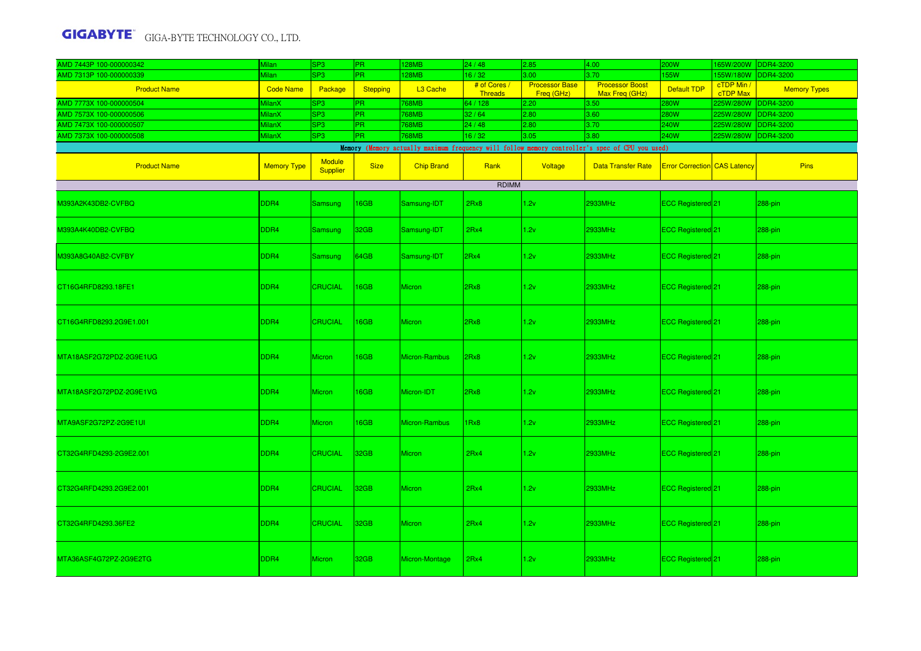| AMD 7443P 100-000000342 | <b>Milan</b>       | SP <sub>3</sub>           | PR.             | 128MB             | 24/48                          | 2.85                                | 4.00                                                                                            | <b>200W</b>                         | 65W/200W DDR4-3200     |                     |
|-------------------------|--------------------|---------------------------|-----------------|-------------------|--------------------------------|-------------------------------------|-------------------------------------------------------------------------------------------------|-------------------------------------|------------------------|---------------------|
| AMD 7313P 100-000000339 | <i>l</i> ilan      | SP <sub>3</sub>           | <b>PR</b>       | 128MB             | 16/32                          | 3.00                                | 3.70                                                                                            | 155W                                | 55W/180W               | DDR4-3200           |
| <b>Product Name</b>     | <b>Code Name</b>   | Package                   | <b>Stepping</b> | L3 Cache          | # of Cores /<br><b>Threads</b> | <b>Processor Base</b><br>Freq (GHz) | <b>Processor Boost</b><br>Max Freq (GHz)                                                        | Default TDP                         | cTDP Min /<br>cTDP Max | <b>Memory Types</b> |
| AMD 7773X 100-000000504 | <b>AilanX</b>      | SP <sub>3</sub>           | <b>PR</b>       | 768MB             | 64 / 128                       | 2.20                                | 3.50                                                                                            | <b>280W</b>                         | 225W/280W DDR4-3200    |                     |
| AMD 7573X 100-000000506 | <b>AilanX</b>      | SP <sub>3</sub>           | PR.             | 768MB             | 32/64                          | 2.80                                | 3.60                                                                                            | <b>280W</b>                         | 25W/280W DDR4-3200     |                     |
| AMD 7473X 100-000000507 | <b>MilanX</b>      | SP <sub>3</sub>           | PR.             | 768MB             | 24/48                          | 2.80                                | 3.70                                                                                            | <b>240W</b>                         | 25W/280W DDR4-3200     |                     |
| AMD 7373X 100-000000508 | <b>MilanX</b>      | SP <sub>3</sub>           | PR              | 768MB             | 16/32                          | 3.05                                | 3.80                                                                                            | 240W                                | 225W/280W DDR4-3200    |                     |
|                         |                    |                           |                 |                   |                                |                                     | Memory (Memory actually maximum frequency will follow memory controller's spec of CPU you used) |                                     |                        |                     |
| <b>Product Name</b>     | <b>Memory Type</b> | <b>Module</b><br>Supplier | <b>Size</b>     | <b>Chip Brand</b> | Rank                           | Voltage                             | <b>Data Transfer Rate</b>                                                                       | <b>Error Correction CAS Latency</b> |                        | Pins                |
|                         |                    |                           |                 |                   | <b>RDIMM</b>                   |                                     |                                                                                                 |                                     |                        |                     |
| V393A2K43DB2-CVFBQ      | DDR4               | <b>Samsung</b>            | 16GB            | Samsung-IDT       | 2Rx8                           | 1.2v                                | 2933MHz                                                                                         | ECC Registered <sup>21</sup>        |                        | 288-pin             |
| M393A4K40DB2-CVFBQ      | DDR4               | Samsung                   | 32GB            | Samsung-IDT       | 2Rx4                           | 1.2v                                | 2933MHz                                                                                         | ECC Registered 21                   |                        | 288-pin             |
| M393A8G40AB2-CVFBY      | DDR4               | Samsung                   | 64GB            | Samsung-IDT       | 2Rx4                           | 1.2v                                | 2933MHz                                                                                         | ECC Registered 21                   |                        | 288-pin             |
| CT16G4RFD8293.18FE1     | DDR4               | <b>CRUCIAL</b>            | 16GB            | <b>Micron</b>     | 2Rx8                           | 1.2v                                | 2933MHz                                                                                         | ECC Registered <sup>21</sup>        |                        | 288-pin             |
| CT16G4RFD8293.2G9E1.001 | DDR4               | <b>CRUCIAL</b>            | 16GB            | <b>Micron</b>     | 2Rx8                           | 1.2v                                | 2933MHz                                                                                         | ECC Registered <sup>21</sup>        |                        | 288-pin             |
| MTA18ASF2G72PDZ-2G9E1UG | DDR4               | Micron                    | 16GB            | Micron-Rambus     | 2Rx8                           | 1.2v                                | 2933MHz                                                                                         | ECC Registered <sup>21</sup>        |                        | 288-pin             |
| MTA18ASF2G72PDZ-2G9E1VG | DDR4               | <b>Micron</b>             | 16GB            | Micron-IDT        | 2Rx8                           | 1.2v                                | 2933MHz                                                                                         | ECC Registered <sup>21</sup>        |                        | 288-pin             |
| MTA9ASF2G72PZ-2G9E1UI   | DDR4               | Micron                    | 16GB            | Micron-Rambus     | 1Rx8                           | 1.2v                                | 2933MHz                                                                                         | ECC Registered <sup>21</sup>        |                        | 288-pin             |
| CT32G4RFD4293-2G9E2.001 | DDR <sub>4</sub>   | <b>CRUCIAL</b>            | 32GB            | <b>Micron</b>     | 2Rx4                           | 1.2v                                | 2933MHz                                                                                         | ECC Registered <sup>21</sup>        |                        | 288-pin             |
| CT32G4RFD4293.2G9E2.001 | DDR4               | <b>CRUCIAL</b>            | 32GB            | <b>Micron</b>     | 2Rx4                           | 1.2v                                | 2933MHz                                                                                         | ECC Registered <sup>21</sup>        |                        | 288-pin             |
| CT32G4RFD4293.36FE2     | DDR4               | <b>CRUCIAL</b>            | 32GB            | <b>Micron</b>     | 2Rx4                           | 1.2v                                | 2933MHz                                                                                         | ECC Registered <sup>21</sup>        |                        | 288-pin             |
| MTA36ASF4G72PZ-2G9E2TG  | DDR4               | <b>Micron</b>             | 32GB            | Micron-Montage    | 2Rx4                           | 1.2v                                | 2933MHz                                                                                         | <b>ECC Registered</b> <sup>21</sup> |                        | 288-pin             |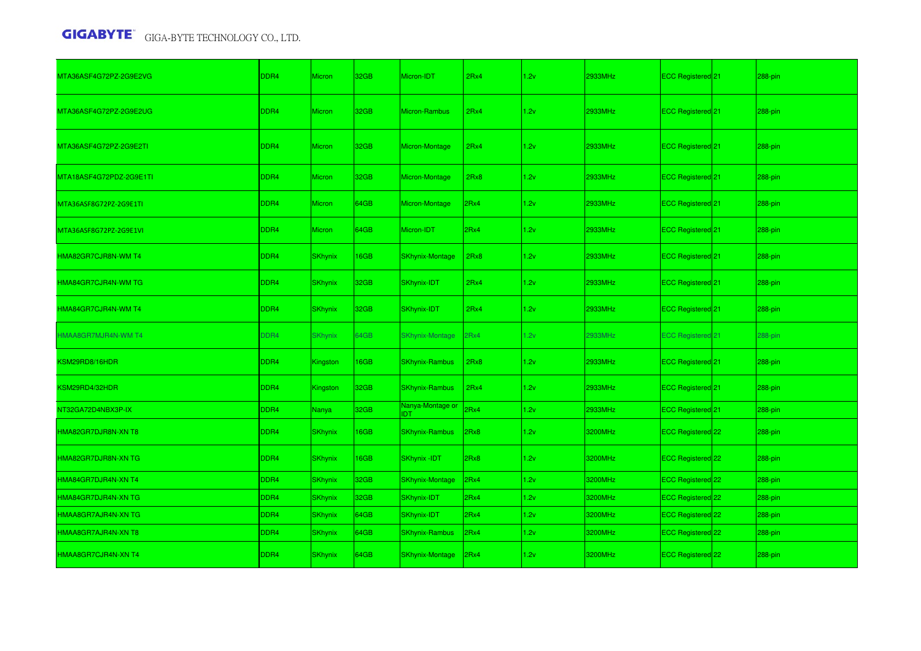| MTA36ASF4G72PZ-2G9E2VG                    | DDR4             | <b>Micron</b>  | 32GB             | Micron-IDT                     | 2Rx4 | 1.2v | 2933MHz | ECC Registered 21            | 288-pin |
|-------------------------------------------|------------------|----------------|------------------|--------------------------------|------|------|---------|------------------------------|---------|
| MTA36ASF4G72PZ-2G9E2UG                    | DDR4             | <b>Micron</b>  | 32GB             | Micron-Rambus                  | 2Rx4 | 1.2v | 2933MHz | ECC Registered 21            | 288-pin |
| MTA36ASF4G72PZ-2G9E2TI                    | DDR <sub>4</sub> | Micron         | 32GB             | Micron-Montage                 | 2Rx4 | 1.2v | 2933MHz | ECC Registered <sup>21</sup> | 288-pin |
| MTA18ASF4G72PDZ-2G9E1TI                   | DDR4             | Micron         | 32GB             | Micron-Montage                 | 2Rx8 | 1.2v | 2933MHz | ECC Registered <sup>21</sup> | 288-pin |
| MTA36ASF8G72PZ-2G9E1TI                    | DDR <sub>4</sub> | Micron         | 64GB             | Micron-Montage                 | 2Rx4 | 1.2v | 2933MHz | ECC Registered <sup>21</sup> | 288-pin |
| MTA36ASF8G72PZ-2G9E1VI                    | DDR <sub>4</sub> | <b>Micron</b>  | 64GB             | Micron-IDT                     | 2Rx4 | 1.2v | 2933MHz | ECC Registered 21            | 288-pin |
| HMA82GR7CJR8N-WM T4                       | DDR <sub>4</sub> | <b>SKhynix</b> | 16GB             | <b>SKhynix-Montage</b>         | 2Rx8 | 1.2v | 2933MHz | ECC Registered 21            | 288-pin |
| HMA84GR7CJR4N-WM TG                       | DDR <sub>4</sub> | <b>SKhynix</b> | 32GB             | SKhynix-IDT                    | 2Rx4 | 1.2v | 2933MHz | ECC Registered <sup>21</sup> | 288-pin |
| HMA84GR7CJR4N-WM T4                       | DDR <sub>4</sub> | <b>SKhynix</b> | 32 <sub>GB</sub> | SKhynix-IDT                    | 2Rx4 | 1.2v | 2933MHz | <b>ECC Registered</b> 21     | 288-pin |
| IMAA8GR7MJR4N-WM T4                       | DDR4             | <b>SKhynix</b> | 64GB             | <b>SKhynix-Montage</b>         | 2Rx4 | 1.2v | 2933MHz | ECC Registered <sup>21</sup> | 288-pin |
| <b><sm29rd8 16hdr<="" b=""></sm29rd8></b> | DDR4             | Kingston       | 16GB             | <b>SKhynix-Rambus</b>          | 2Rx8 | 1.2v | 2933MHz | ECC Registered <sup>21</sup> | 288-pin |
| <b><sm29rd4 32hdr<="" b=""></sm29rd4></b> | DDR <sub>4</sub> | Kingston       | 32GB             | <b>SKhynix-Rambus</b>          | 2Rx4 | 1.2v | 2933MHz | ECC Registered 21            | 288-pin |
| NT32GA72D4NBX3P-IX                        | DDR4             | Nanya          | 32GB             | Nanya-Montage or<br><b>IDT</b> | 2Rx4 | 1.2v | 2933MHz | ECC Registered 21            | 288-pin |
| HMA82GR7DJR8N-XN T8                       | DDR <sub>4</sub> | <b>SKhynix</b> | 16GB             | SKhynix-Rambus                 | 2Rx8 | 1.2v | 3200MHz | ECC Registered 22            | 288-pin |
| HMA82GR7DJR8N-XN TG                       | DDR <sub>4</sub> | <b>SKhynix</b> | <b>16GB</b>      | <b>SKhynix -IDT</b>            | 2Rx8 | 1.2v | 3200MHz | ECC Registered 22            | 288-pin |
| HMA84GR7DJR4N-XN T4                       | DDR4             | <b>SKhynix</b> | 32GB             | <b>SKhynix-Montage</b>         | 2Rx4 | 1.2v | 3200MHz | ECC Registered 22            | 288-pin |
| HMA84GR7DJR4N-XN TG                       | DDR4             | <b>SKhynix</b> | 32GB             | SKhynix-IDT                    | 2Rx4 | 1.2v | 3200MHz | ECC Registered 22            | 288-pin |
| HMAA8GR7AJR4N-XN TG                       | DDR4             | <b>SKhynix</b> | 64GB             | SKhynix-IDT                    | 2Rx4 | 1.2v | 3200MHz | ECC Registered 22            | 288-pin |
| HMAA8GR7AJR4N-XN T8                       | DDR4             | <b>SKhynix</b> | 64GB             | <b>SKhynix-Rambus</b>          | 2Rx4 | 1.2v | 3200MHz | ECC Registered 22            | 288-pin |
| HMAA8GR7CJR4N-XN T4                       | DDR <sub>4</sub> | <b>SKhynix</b> | 64GB             | SKhynix-Montage                | 2Rx4 | 1.2v | 3200MHz | ECC Registered 22            | 288-pin |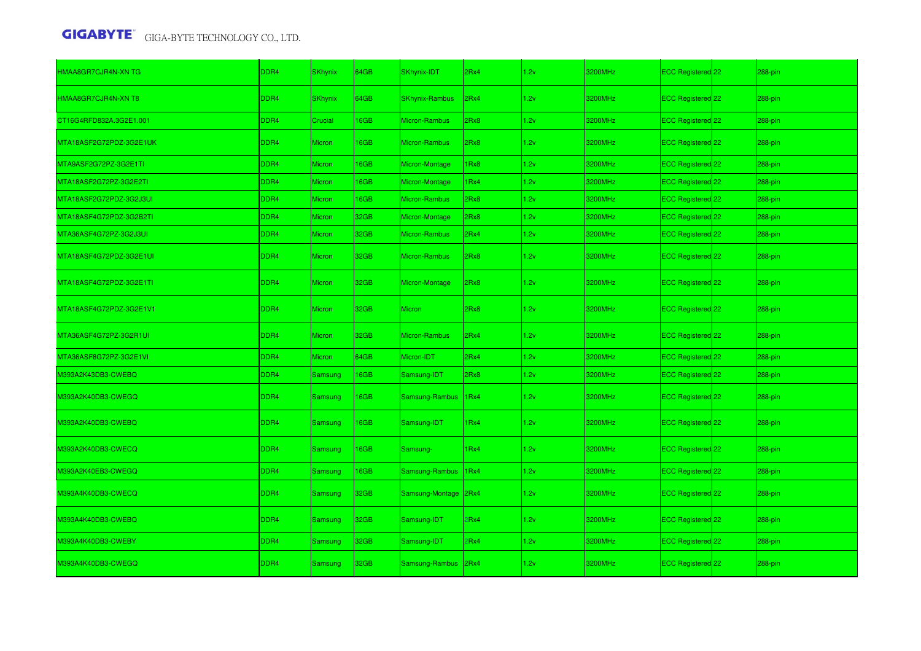| HMAA8GR7CJR4N-XN TG     | DDR <sub>4</sub> | <b>SKhynix</b> | 64GB             | SKhynix-IDT           | 2Rx4       | 1.2v | 3200MHz | ECC Registered 22            | 288-pin |
|-------------------------|------------------|----------------|------------------|-----------------------|------------|------|---------|------------------------------|---------|
| HMAA8GR7CJR4N-XN T8     | DDR4             | <b>SKhynix</b> | 64GB             | <b>SKhynix-Rambus</b> | 2Rx4       | 1.2v | 3200MHz | ECC Registered 22            | 288-pin |
| CT16G4RFD832A.3G2E1.001 | DDR4             | Crucial        | 16GB             | Micron-Rambus         | 2Rx8       | 1.2v | 3200MHz | ECC Registered 22            | 288-pin |
| MTA18ASF2G72PDZ-3G2E1UK | DDR4             | <b>Micron</b>  | 16GB             | Micron-Rambus         | 2Rx8       | 1.2v | 3200MHz | ECC Registered 22            | 288-pin |
| MTA9ASF2G72PZ-3G2E1TI   | DDR4             | <b>Micron</b>  | 16GB             | Micron-Montage        | 1Rx8       | 1.2v | 3200MHz | ECC Registered 22            | 288-pin |
| MTA18ASF2G72PZ-3G2E2TI  | DDR <sub>4</sub> | Micron         | 16GB             | Micron-Montage        | 1Rx4       | 1.2v | 3200MHz | ECC Registered 22            | 288-pin |
| MTA18ASF2G72PDZ-3G2J3UI | DDR4             | <b>Micron</b>  | 16GB             | Micron-Rambus         | 2Rx8       | 1.2v | 3200MHz | ECC Registered 22            | 288-pin |
| MTA18ASF4G72PDZ-3G2B2TI | DDR4             | <b>Micron</b>  | 32GB             | Micron-Montage        | 2Rx8       | 1.2v | 3200MHz | ECC Registered 22            | 288-pin |
| MTA36ASF4G72PZ-3G2J3UI  | DDR4             | <b>Micron</b>  | 32GB             | Micron-Rambus         | 2Rx4       | 1.2v | 3200MHz | ECC Registered 22            | 288-pin |
| MTA18ASF4G72PDZ-3G2E1UI | DDR4             | <b>Micron</b>  | 32GB             | <b>Micron-Rambus</b>  | 2Rx8       | 1.2v | 3200MHz | ECC Registered 22            | 288-pin |
| MTA18ASF4G72PDZ-3G2E1TI | DDR <sub>4</sub> | <b>Micron</b>  | 32GB             | <b>Micron-Montage</b> | 2Rx8       | 1.2v | 3200MHz | ECC Registered 22            | 288-pin |
| MTA18ASF4G72PDZ-3G2E1V1 | DDR4             | <b>Micron</b>  | 32GB             | <b>Micron</b>         | 2Rx8       | 1.2v | 3200MHz | ECC Registered 22            | 288-pin |
| MTA36ASF4G72PZ-3G2R1UI  | DDR4             | <b>Micron</b>  | 32GB             | Micron-Rambus         | 2Rx4       | 1.2v | 3200MHz | ECC Registered 22            | 288-pin |
| MTA36ASF8G72PZ-3G2E1VI  | DDR4             | <b>Micron</b>  | 64GB             | Micron-IDT            | 2Rx4       | 1.2v | 3200MHz | ECC Registered 22            | 288-pin |
| M393A2K43DB3-CWEBQ      | DDR4             | Samsung        | 16GB             | Samsung-IDT           | 2Rx8       | 1.2v | 3200MHz | ECC Registered 22            | 288-pin |
| M393A2K40DB3-CWEGQ      | DDR4             | Samsung        | 16GB             | Samsung-Rambus        | 1Rx4       | 1.2v | 3200MHz | ECC Registered <sup>22</sup> | 288-pin |
| M393A2K40DB3-CWEBQ      | DDR4             | Samsung        | 16GB             | Samsung-IDT           | 1Rx4       | 1.2v | 3200MHz | ECC Registered 22            | 288-pin |
| M393A2K40DB3-CWECQ      | DDR <sub>4</sub> | Samsung        | 16GB             | Samsung-              | 1Rx4       | 1.2v | 3200MHz | ECC Registered 22            | 288-pin |
| M393A2K40EB3-CWEGQ      | DDR4             | Samsung        | 16GB             | Samsung-Rambus        | 1Rx4       | 1.2v | 3200MHz | ECC Registered 22            | 288-pin |
| M393A4K40DB3-CWECQ      | DDR4             | Samsung        | 32GB             | Samsung-Montage 2Rx4  |            | 1.2v | 3200MHz | ECC Registered 22            | 288-pin |
| M393A4K40DB3-CWEBQ      | DDR4             | Samsung        | 32 <sub>GB</sub> | Samsung-IDT           | <b>Rx4</b> | 1.2v | 3200MHz | ECC Registered <sup>22</sup> | 288-pin |
| M393A4K40DB3-CWEBY      | DDR4             | Samsung        | 32GB             | Samsung-IDT           | PRx4       | 1.2v | 3200MHz | ECC Registered 22            | 288-pin |
| M393A4K40DB3-CWEGQ      | DDR <sub>4</sub> | <b>Samsung</b> | 32GB             | Samsung-Rambus 2Rx4   |            | 1.2v | 3200MHz | ECC Registered 22            | 288-pin |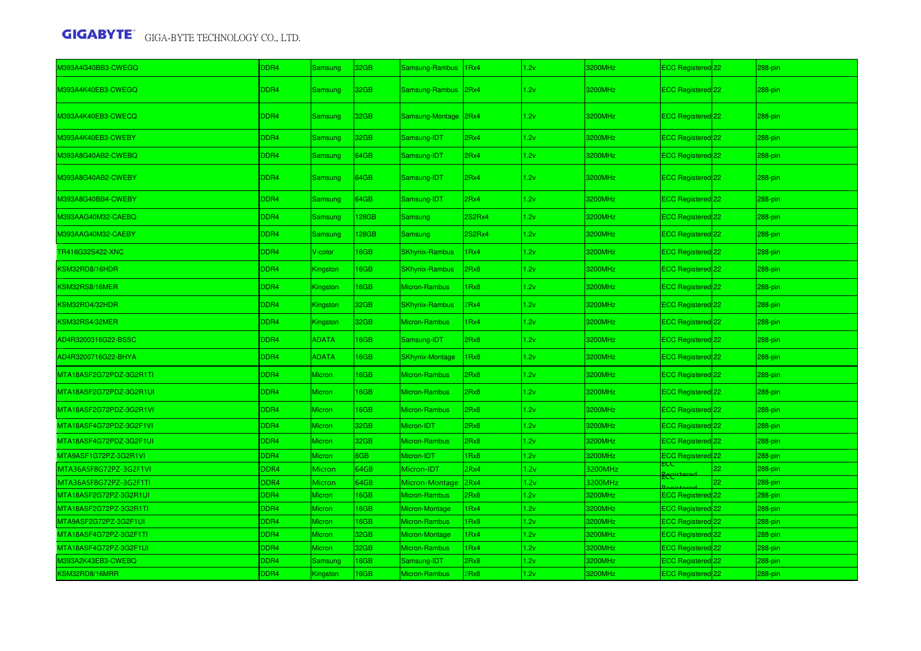| M393A4G40BB3-CWEGQ      | DDR4             | Samsung        | 32GB        | Samsung-Rambus         | 1 <sub>Rx4</sub> | 1.2v | 3200MHz | ECC Registered 22            |    | 288-pin |
|-------------------------|------------------|----------------|-------------|------------------------|------------------|------|---------|------------------------------|----|---------|
| M393A4K40EB3-CWEGQ      | DDR4             | <b>Samsung</b> | 32GB        | Samsung-Rambus         | 2Rx4             | 1.2v | 3200MHz | ECC Registered <sup>22</sup> |    | 288-pin |
| M393A4K40EB3-CWECQ      | DDR4             | <b>Samsung</b> | 32GB        | Samsung-Montage 2Rx4   |                  | 1.2v | 3200MHz | ECC Registered 22            |    | 288-pin |
| M393A4K40EB3-CWEBY      | DDR4             | <b>Samsung</b> | 32GB        | Samsung-IDT            | 2Rx4             | 1.2v | 3200MHz | ECC Registered 22            |    | 288-pin |
| M393A8G40AB2-CWEBQ      | DDR4             | Samsung        | 64GB        | Samsung-IDT            | 2Rx4             | 1.2v | 3200MHz | ECC Registered 22            |    | 288-pin |
| M393A8G40AB2-CWEBY      | DDR4             | <b>Samsung</b> | 64GB        | Samsung-IDT            | 2Rx4             | 1.2v | 3200MHz | ECC Registered <sup>22</sup> |    | 288-pin |
| M393A8G40BB4-CWEBY      | DDR4             | Samsung        | 64GB        | Samsung-IDT            | 2Rx4             | 1.2v | 3200MHz | ECC Registered 22            |    | 288-pin |
| M393AAG40M32-CAEBQ      | DDR4             | Samsung        | 128GB       | Samsung                | 2S2Rx4           | 1.2v | 3200MHz | ECC Registered 22            |    | 288-pin |
| M393AAG40M32-CAEBY      | DDR4             | Samsung        | <b>28GB</b> | <b>Samsung</b>         | 2S2Rx4           | 1.2v | 3200MHz | ECC Registered 22            |    | 288-pin |
| <b>FR416G32S422-XNC</b> | DDR4             | V-color        | <b>I6GB</b> | <b>SKhynix-Rambus</b>  | Rx4              | 1.2v | 3200MHz | ECC Registered 22            |    | 288-pin |
| KSM32RD8/16HDR          | DDR4             | Kingston       | <b>I6GB</b> | <b>SKhynix-Rambus</b>  | 2Rx8             | 1.2v | 3200MHz | ECC Registered 22            |    | 288-pin |
| KSM32RS8/16MER          | DDR4             | Kingston       | <b>I6GB</b> | Micron-Rambus          | Rx8              | 1.2v | 3200MHz | ECC Registered 22            |    | 288-pin |
| KSM32RD4/32HDR          | DDR4             | Kingston       | 32GB        | <b>SKhynix-Rambus</b>  | Rx4              | 1.2v | 3200MHz | ECC Registered 22            |    | 288-pin |
| KSM32RS4/32MER          | DDR4             | Kingston       | 32GB        | <b>Micron-Rambus</b>   | Rx4              | 1.2v | 3200MHz | ECC Registered 22            |    | 288-pin |
| AD4R3200316G22-BSSC     | DDR4             | <b>ADATA</b>   | <b>I6GB</b> | Samsung-IDT            | 2Rx8             | 1.2v | 3200MHz | ECC Registered 22            |    | 288-pin |
| AD4R3200716G22-BHYA     | DDR4             | <b>ADATA</b>   | <b>I6GB</b> | <b>SKhynix-Montage</b> | Rx8              | 1.2v | 3200MHz | ECC Registered 22            |    | 288-pin |
| MTA18ASF2G72PDZ-3G2R1TI | DDR4             | <b>Micron</b>  | 16GB        | <b>Micron-Rambus</b>   | BxR!             | 1.2v | 3200MHz | ECC Registered 22            |    | 288-pin |
| MTA18ASF2G72PDZ-3G2R1UI | DDR4             | <b>Micron</b>  | <b>I6GB</b> | <b>Micron-Rambus</b>   | Rx8              | 1.2v | 3200MHz | ECC Registered 22            |    | 288-pin |
| MTA18ASF2G72PDZ-3G2R1VI | DDR4             | Micron         | 16GB        | Micron-Rambus          | BxR!             | 1.2v | 3200MHz | ECC Registered 22            |    | 288-pin |
| MTA18ASF4G72PDZ-3G2F1VI | DDR4             | Micron         | 32GB        | Micron-IDT             | 2Rx8             | 1.2v | 3200MHz | ECC Registered 22            |    | 288-pin |
| MTA18ASF4G72PDZ-3G2F1UI | DDR4             | Micron         | 32GB        | Micron-Rambus          | 2Rx8             | 1.2v | 3200MHz | ECC Registered 22            |    | 288-pin |
| MTA9ASF1G72PZ-3G2R1VI   | DDR4             | Micron         | 8GB         | Micron-IDT             | IRx8             | 1.2v | 3200MHz | ECC Registered 22            |    | 288-pin |
| MTA36ASF8G72PZ-3G2F1VI  | DDR4             | Micron         | 64GB        | Micron-IDT             | 2Rx4             | 1.2v | 3200MHz | ECC<br>Pecistered            | 22 | 288-pin |
| MTA36ASF8G72PZ-3G2F1TI  | DDR4             | Micron         | 64GB        | Micron-Montage         | 2Rx4             | 1.2v | 3200MHz |                              |    | 288-pin |
| MTA18ASF2G72PZ-3G2R1UI  | DDR4             | Micron         | 16GB        | Micron-Rambus          | 2Rx8             | 1.2v | 3200MHz | ECC Registered 22            |    | 288-pin |
| MTA18ASF2G72PZ-3G2R1TI  | DDR4             | Micron         | <b>I6GB</b> | Micron-Montage         | Rx4              | 1.2v | 3200MHz | ECC Registered <sup>22</sup> |    | 288-pin |
| MTA9ASF2G72PZ-3G2F1UI   | DDR4             | Micron         | <b>I6GB</b> | <b>Micron-Rambus</b>   | Rx8              | 1.2v | 3200MHz | ECC Registered 22            |    | 288-pin |
| MTA18ASF4G72PZ-3G2F1TI  | DDR4             | Micron         | 32GB        | Micron-Montage         | Rx4              | 1.2v | 3200MHz | ECC Registered <sup>22</sup> |    | 288-pin |
| MTA18ASF4G72PZ-3G2F1UI  | DDR4             | <b>Micron</b>  | 32GB        | <b>Micron-Rambus</b>   | IRx4             | 1.2v | 3200MHz | ECC Registered 22            |    | 288-pin |
| 0393A2K43EB3-CWEBQ      | DDR4             | Samsung        | 16GB        | Samsung-IDT            | 2Rx8             | 1.2v | 3200MHz | ECC Registered <sup>22</sup> |    | 288-pin |
| KSM32RD8/16MRR          | DDR <sub>4</sub> | Kingston       | <b>I6GB</b> | Micron-Rambus          | Rx8              | 1.2v | 3200MHz | ECC Registered 22            |    | 288-pin |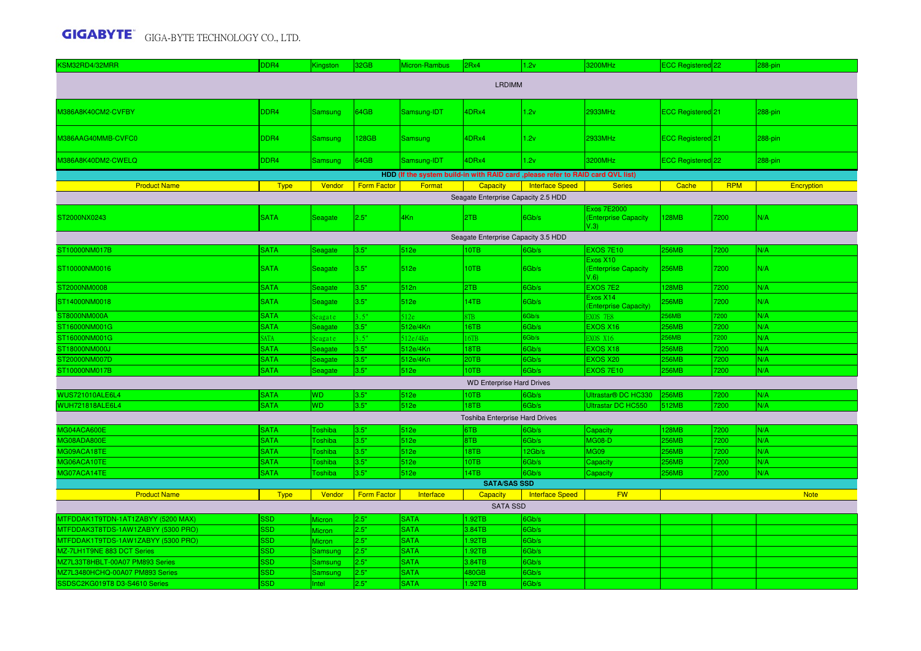| KSM32RD4/32MRR                     | DDR4                       | <b>Kingston</b>           | 32GB               | Micron-Rambus                                                                    | 2Rx4                                | 1.2v                   | 3200MHz                                            | ECC Registered 22     |              | 288-pin     |  |  |
|------------------------------------|----------------------------|---------------------------|--------------------|----------------------------------------------------------------------------------|-------------------------------------|------------------------|----------------------------------------------------|-----------------------|--------------|-------------|--|--|
| <b>LRDIMM</b>                      |                            |                           |                    |                                                                                  |                                     |                        |                                                    |                       |              |             |  |  |
| M386A8K40CM2-CVFBY                 | DDR <sub>4</sub>           | <b>Samsung</b>            | 64GB               | Samsung-IDT                                                                      | 4DRx4                               | 1.2v                   | 2933MHz                                            | ECC Registered 21     |              | 288-pin     |  |  |
| M386AAG40MMB-CVFC0                 | DDR4                       | <b>Samsung</b>            | 128GB              | <b>Samsung</b>                                                                   | 4DRx4                               | 1.2v                   | 2933MHz                                            | ECC Registered 21     |              | 288-pin     |  |  |
| M386A8K40DM2-CWELQ                 | DDR4                       | <b>Samsung</b>            | 64GB               | Samsung-IDT                                                                      | 4DRx4                               | 1.2v                   | 3200MHz                                            | ECC Registered 22     |              | 288-pin     |  |  |
|                                    |                            |                           |                    | HDD (If the system build-in with RAID card , please refer to RAID card QVL list) |                                     |                        |                                                    |                       |              |             |  |  |
| <b>Product Name</b>                | <b>Type</b>                | Vendor                    | <b>Form Factor</b> | Format                                                                           | Capacity                            | Interface Speed        | <b>Series</b>                                      | Cache                 | <b>RPM</b>   | Encryption  |  |  |
|                                    |                            |                           |                    |                                                                                  | Seagate Enterprise Capacity 2.5 HDD |                        |                                                    |                       |              |             |  |  |
| ST2000NX0243                       | <b>SATA</b>                | Seagate                   | 2.5"               | 4Kn                                                                              | 2TB                                 | 6Gb/s                  | <b>Exos 7E2000</b><br>(Enterprise Capacity<br>V.3) | <b>128MB</b>          | 7200         | N/A         |  |  |
|                                    |                            |                           |                    |                                                                                  | Seagate Enterprise Capacity 3.5 HDD |                        |                                                    |                       |              |             |  |  |
| ST10000NM017B                      | <b>SATA</b>                | Seagate                   | 3.5"               | 512e                                                                             | 10TB                                | 6Gb/s                  | EXOS 7E10                                          | <b>256MB</b>          | 7200         | N/A         |  |  |
| ST10000NM0016                      | <b>SATA</b>                | Seagate                   | 3.5"               | 512e                                                                             | 10TB                                | 6Gb/s                  | Exos X10<br>(Enterprise Capacity<br>V.6            | <b>256MB</b>          | 7200         | N/A         |  |  |
| ST2000NM0008                       | <b>SATA</b>                | Seagate                   | 3.5"               | 512n                                                                             | 2TB                                 | 6Gb/s                  | <b>EXOS 7E2</b>                                    | 128MB                 | 7200         | N/A         |  |  |
| ST14000NM0018                      | <b>SATA</b>                | Seagate                   | 3.5"               | 512e                                                                             | 14TB                                | 6Gb/s                  | Exos X14<br>(Enterprise Capacity)                  | 256MB                 | 7200         | N/A         |  |  |
| ST8000NM000A                       | <b>SATA</b>                | Seagate                   | 3.5"               | 512e                                                                             | 8TB                                 | 6Gb/s                  | EXOS 7E8                                           | <b>256MB</b>          | 7200         | N/A         |  |  |
| ST16000NM001G                      | <b>SATA</b>                | Seagate                   | 3.5"               | 512e/4Kn                                                                         | 16TB                                | 6Gb/s                  | <b>EXOS X16</b>                                    | <b>256MB</b>          | 7200         | N/A         |  |  |
| ST16000NM001G                      | <b>SATA</b>                | Seagate                   | 3.5"               | 512e/4Kn                                                                         | 16TB                                | 6Gb/s                  | <b>EXOS X16</b>                                    | <b>256MB</b>          | 7200         | N/A         |  |  |
| ST18000NM000J                      | <b>SATA</b>                | Seagate                   | 3.5"               | 512e/4Kn                                                                         | 18TB                                | 6Gb/s                  | <b>EXOS X18</b>                                    | <b>256MB</b>          | 7200         | N/A         |  |  |
| ST20000NM007D                      | <b>SATA</b>                | Seagate                   | 3.5"               | 512e/4Kn                                                                         | 20TB                                | 6Gb/s                  | <b>EXOS X20</b>                                    | 256MB                 | 7200         | N/A         |  |  |
| ST10000NM017B                      | <b>SATA</b>                | Seagate                   | 3.5"               | 512e                                                                             | 10TB                                | 6Gb/s                  | <b>EXOS 7E10</b>                                   | 256MB                 | 7200         | N/A         |  |  |
|                                    |                            |                           |                    |                                                                                  | <b>WD Enterprise Hard Drives</b>    |                        |                                                    |                       |              |             |  |  |
| WUS721010ALE6L4                    | <b>SATA</b>                | WD                        | 3.5"               | 512e                                                                             | 10TB                                | 6Gb/s                  | Ultrastar® DC HC330                                | <b>256MB</b>          | 7200         | N/A<br>N/A  |  |  |
| <b>WUH721818ALE6L4</b>             | <b>SATA</b>                | WD                        | 3.5"               | 512e                                                                             | 18TB                                | 6Gb/s                  | Ultrastar DC HC550                                 | 512MB                 | 7200         |             |  |  |
|                                    |                            |                           |                    |                                                                                  | Toshiba Enterprise Hard Drives      |                        |                                                    |                       |              |             |  |  |
| MG04ACA600E<br>MG08ADA800E         | <b>SATA</b><br><b>SATA</b> | <b>Toshiba</b><br>Toshiba | 3.5"<br>3.5"       | 512e<br>512e                                                                     | 6TB<br>8TB                          | 6Gb/s<br>6Gb/s         | Capacity<br><b>MG08-D</b>                          | 128MB<br><b>256MB</b> | 7200<br>7200 | N/A<br>N/A  |  |  |
| MG09ACA18TE                        | <b>SATA</b>                | <b>Toshiba</b>            | 3.5"               | 512e                                                                             | 18TB                                | 12Gb/s                 | <b>MG09</b>                                        | 256MB                 | 7200         | N/A         |  |  |
| MG06ACA10TE                        | <b>SATA</b>                | <b>Toshiba</b>            | 3.5"               | 512e                                                                             | 10TB                                | 6Gb/s                  | Capacity                                           | 256MB                 | 7200         | N/A         |  |  |
| MG07ACA14TE                        | <b>SATA</b>                | <b>Toshiba</b>            | 3.5"               | 512e                                                                             | 14TB                                | Gb/s                   | Capacity                                           | 256MB                 | 7200         | N/A         |  |  |
|                                    |                            |                           |                    |                                                                                  | <b>SATA/SAS SSD</b>                 |                        |                                                    |                       |              |             |  |  |
| <b>Product Name</b>                | <b>Type</b>                | Vendor                    | <b>Form Factor</b> | Interface                                                                        | Capacity                            | <b>Interface Speed</b> | <b>FW</b>                                          |                       |              | <b>Note</b> |  |  |
|                                    |                            |                           |                    |                                                                                  | <b>SATA SSD</b>                     |                        |                                                    |                       |              |             |  |  |
| MTFDDAK1T9TDN-1AT1ZABYY (5200 MAX) | <b>SD</b>                  | Micron                    | 2.5"               | <b>SATA</b>                                                                      | 1.92TB                              | 6Gb/s                  |                                                    |                       |              |             |  |  |
| MTFDDAK3T8TDS-1AW1ZABYY (5300 PRO) | SSD                        | Micron                    | 2.5"               | <b>SATA</b>                                                                      | 3.84TB                              | 6Gb/s                  |                                                    |                       |              |             |  |  |
| MTFDDAK1T9TDS-1AW1ZABYY (5300 PRO) | <b>SSD</b>                 | <b>Aicron</b>             | 2.5"               | <b>SATA</b>                                                                      | .92TB                               | 6Gb/s                  |                                                    |                       |              |             |  |  |
| MZ-7LH1T9NE 883 DCT Series         | <b>SSD</b>                 | <b>Samsung</b>            | 2.5"               | <b>SATA</b>                                                                      | 1.92TB                              | 6Gb/s                  |                                                    |                       |              |             |  |  |
| MZ7L33T8HBLT-00A07 PM893 Series    | <b>SSD</b>                 | <b>Samsung</b>            | 2.5"               | <b>SATA</b>                                                                      | 3.84TB                              | 6Gb/s                  |                                                    |                       |              |             |  |  |
| MZ7L3480HCHQ-00A07 PM893 Series    | <b>SSD</b>                 | Samsung                   | 2.5"               | <b>SATA</b>                                                                      | 480GB                               | 6Gb/s                  |                                                    |                       |              |             |  |  |
| SSDSC2KG019T8 D3-S4610 Series      | <b>SSD</b>                 | Intel                     | 2.5"               | <b>SATA</b>                                                                      | .92TB                               | 6Gb/s                  |                                                    |                       |              |             |  |  |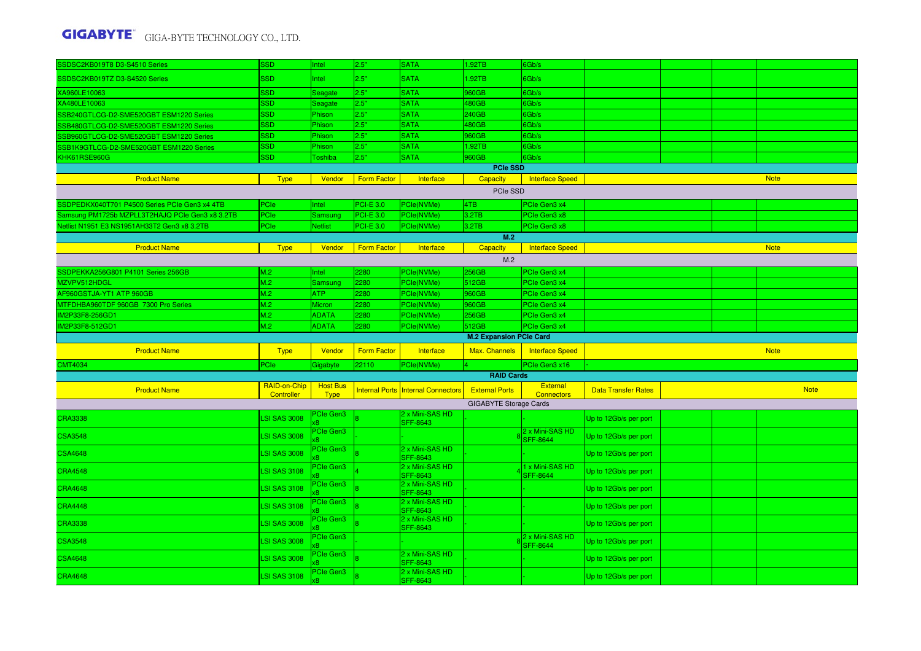| SSDSC2KB019T8 D3-S4510 Series                   | <b>SSD</b>                 | Intel                          | 2.5"               | <b>SATA</b>                               | 1.92TB                         | 6Gb/s                                   |                            |  |             |
|-------------------------------------------------|----------------------------|--------------------------------|--------------------|-------------------------------------------|--------------------------------|-----------------------------------------|----------------------------|--|-------------|
| SSDSC2KB019TZ D3-S4520 Series                   | <b>SSD</b>                 | Intel                          | 2.5"               | <b>SATA</b>                               | 1.92TB                         | 6Gb/s                                   |                            |  |             |
| XA960LE10063                                    | SSD                        | Seagate                        | 2.5"               | <b>SATA</b>                               | 960GB                          | 6Gb/s                                   |                            |  |             |
| XA480LE10063                                    | <b>SSD</b>                 | Seagate                        | 2.5"               | <b>SATA</b>                               | 480GB                          | 6Gb/s                                   |                            |  |             |
| SSB240GTLCG-D2-SME520GBT ESM1220 Series         | <b>SSD</b>                 | Phison                         | 2.5"               | <b>SATA</b>                               | 240GB                          | 6Gb/s                                   |                            |  |             |
| SSB480GTLCG-D2-SME520GBT ESM1220 Series         | <b>SSD</b>                 | Phison                         | 2.5"               | <b>SATA</b>                               | 480GB                          | 6Gb/s                                   |                            |  |             |
| SSB960GTLCG-D2-SME520GBT ESM1220 Series         | <b>SSD</b>                 | Phison                         | 2.5"               | <b>SATA</b>                               | 960GB                          | 6Gb/s                                   |                            |  |             |
| SB1K9GTLCG-D2-SME520GBT ESM1220 Series          | <b>SSD</b>                 | Phison                         | 2.5"               | <b>SATA</b>                               | 1.92TB                         | 6Gb/s                                   |                            |  |             |
| KHK61RSE960G                                    | <b>SSD</b>                 | Toshiba                        | 2.5"               | <b>SATA</b>                               | 960GB                          | 6Gb/s                                   |                            |  |             |
|                                                 |                            |                                |                    |                                           | <b>PCIe SSD</b>                |                                         |                            |  |             |
| <b>Product Name</b>                             | <b>Type</b>                | Vendor                         | <b>Form Factor</b> | Interface                                 | Capacity<br>PCIe SSD           | <b>Interface Speed</b>                  |                            |  | <b>Note</b> |
| SSDPEDKX040T701 P4500 Series PCIe Gen3 x4 4TB   | PCIe                       | Intel                          | <b>PCI-E 3.0</b>   | PCle(NVMe)                                | 4TB                            | <b>PCIe Gen3 x4</b>                     |                            |  |             |
| Samsung PM1725b MZPLL3T2HAJQ PCIe Gen3 x8 3.2TB | <b>PCIe</b>                | Samsuno                        | <b>PCI-E 3.0</b>   | PCle(NVMe)                                | 3.2TB                          | <b>PCIe Gen3 x8</b>                     |                            |  |             |
| Netlist N1951 E3 NS1951AH33T2 Gen3 x8 3.2TB     | <b>PCIe</b>                | <b>Netlist</b>                 | <b>PCI-E 3.0</b>   | PCle(NVMe)                                | 3.2TB                          | Cle Gen3 x8                             |                            |  |             |
|                                                 |                            |                                |                    |                                           | M.2                            |                                         |                            |  |             |
| <b>Product Name</b>                             | <b>Type</b>                | Vendor                         | <b>Form Factor</b> | Interface                                 | <b>Capacity</b>                | <b>Interface Speed</b>                  |                            |  | <b>Note</b> |
|                                                 |                            |                                |                    |                                           | M.2                            |                                         |                            |  |             |
| SSDPEKKA256G801 P4101 Series 256GB              | M.2                        | Intel                          | 2280               | PCle(NVMe)                                | 256GB                          | PCIe Gen3 x4                            |                            |  |             |
| MZVPV512HDGL                                    | M.2                        | Samsung                        | 2280               | PCle(NVMe)                                | 512GB                          | <b>PCIe Gen3 x4</b>                     |                            |  |             |
| AF960GSTJA-YT1 ATP 960GB                        | M.2                        | <b>ATP</b>                     | 2280               | PCle(NVMe)                                | 960GB                          | PCIe Gen3 x4                            |                            |  |             |
| MTFDHBA960TDF 960GB 7300 Pro Series             | M.2                        | <b>Micron</b>                  | 2280               | PCle(NVMe)                                | 960GB                          | PCIe Gen3 x4                            |                            |  |             |
| M2P33F8-256GD1                                  | M.2                        | <b>ADATA</b>                   | 2280               | PCle(NVMe)                                | 256GB                          | PCIe Gen3 x4                            |                            |  |             |
| M2P33F8-512GD1                                  | M.2                        | <b>ADATA</b>                   | 2280               | PCle(NVMe)                                | 512GB                          | PCIe Gen3 x4                            |                            |  |             |
|                                                 |                            |                                |                    |                                           | <b>M.2 Expansion PCle Card</b> |                                         |                            |  |             |
| <b>Product Name</b>                             | <b>Type</b>                | Vendor                         | <b>Form Factor</b> | Interface                                 | Max. Channels                  | <b>Interface Speed</b>                  |                            |  | <b>Note</b> |
| <b>CMT4034</b>                                  | PCIe                       | Gigabyte                       | 22110              | PCle(NVMe)                                |                                | PCIe Gen3 x16                           |                            |  |             |
|                                                 |                            |                                |                    |                                           | <b>RAID Cards</b>              |                                         |                            |  |             |
| <b>Product Name</b>                             | RAID-on-Chip<br>Controller | <b>Host Bus</b><br><b>Type</b> |                    | <b>Internal Ports Internal Connectors</b> | <b>External Ports</b>          | <b>External</b><br><b>Connectors</b>    | <b>Data Transfer Rates</b> |  | <b>Note</b> |
|                                                 |                            |                                |                    |                                           | <b>GIGABYTE Storage Cards</b>  |                                         |                            |  |             |
| <b>CRA3338</b>                                  | <b>LSI SAS 3008</b>        | PCIe Gen3                      |                    | 2 x Mini-SAS HD<br><b>SFF-8643</b>        |                                |                                         | Up to 12Gb/s per port      |  |             |
| <b>CSA3548</b>                                  | <b>LSI SAS 3008</b>        | <b>PCIe Gen3</b>               |                    |                                           |                                | 2 x Mini-SAS HD<br><b>SFF-8644</b>      | Up to 12Gb/s per port      |  |             |
| <b>CSA4648</b>                                  | <b>LSI SAS 3008</b>        | PCIe Gen3                      |                    | 2 x Mini-SAS HD<br><b>SFF-8643</b>        |                                |                                         | Up to 12Gb/s per port      |  |             |
| <b>CRA4548</b>                                  | <b>LSI SAS 3108</b>        | <b>PCIe Gen3</b>               |                    | 2 x Mini-SAS HD<br><b>SFF-8643</b>        |                                | <b>x Mini-SAS HD</b><br><b>SFF-8644</b> | Up to 12Gb/s per port      |  |             |
| <b>CRA4648</b>                                  | <b>LSI SAS 3108</b>        | PCIe Gen3                      |                    | 2 x Mini-SAS HD<br><b>SFF-8643</b>        |                                |                                         | Up to 12Gb/s per port      |  |             |
| <b>CRA4448</b>                                  | <b>LSI SAS 3108</b>        | <b>Cle Gen3</b>                |                    | 2 x Mini-SAS HD<br><b>SFF-8643</b>        |                                |                                         | Up to 12Gb/s per port      |  |             |
| <b>CRA3338</b>                                  | <b>LSI SAS 3008</b>        | PCIe Gen3                      |                    | 2 x Mini-SAS HD<br><b>SFF-8643</b>        |                                |                                         | Up to 12Gb/s per port      |  |             |
| <b>CSA3548</b>                                  | <b>LSI SAS 3008</b>        | Cle Gen3                       |                    |                                           |                                | 2 x Mini-SAS HD<br><b>SFF-8644</b>      | Up to 12Gb/s per port      |  |             |
| <b>CSA4648</b>                                  | <b>LSI SAS 3008</b>        | <b>Cle Gen3</b>                |                    | 2 x Mini-SAS HD                           |                                |                                         | Up to 12Gb/s per port      |  |             |
|                                                 |                            | <b>PCIe Gen3</b>               |                    | <b>SFF-8643</b><br>2 x Mini-SAS HD        |                                |                                         |                            |  |             |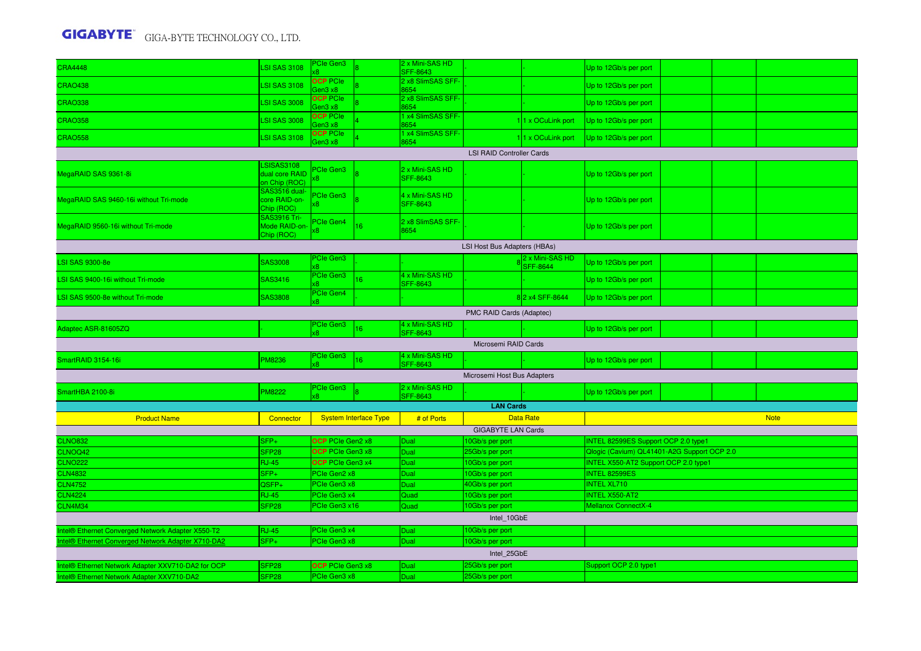| 2 x8 SlimSAS SFF-<br><b>OCP</b> PCIe<br><b>LSI SAS 3108</b><br><b>CRAO438</b><br>Up to 12Gb/s per port<br>Gen3 x8<br>8654<br>2 x8 SlimSAS SFF-<br><b>OCP</b> PCIe<br><b>CRAO338</b><br>LSI SAS 3008<br>Up to 12Gb/s per port<br>8654<br>Gen3 x8<br>1 x4 SlimSAS SFF-<br><b>OCP</b> PCIe<br>LSI SAS 3008<br>11 x OCuLink port<br><b>CRAO358</b><br>Up to 12Gb/s per port<br>654<br>aen3 x8<br>1 x4 SlimSAS SFF-<br><b>OCP PCIe</b><br><b>LSI SAS 3108</b><br><b>CRAO558</b><br>11 x OCuLink port<br>Up to 12Gb/s per port<br>8654<br>Gen3 x8<br><b>LSI RAID Controller Cards</b><br><b>LSISAS3108</b><br>2 x Mini-SAS HD<br>Cle Gen3<br>dual core RAID<br>MegaRAID SAS 9361-8i<br>Up to 12Gb/s per port<br><b>SFF-8643</b><br>8<br>on Chip (ROC)<br>SAS3516 dual-<br><b>Cle Gen3</b><br>4 x Mini-SAS HD<br>core RAID-on-<br>MegaRAID SAS 9460-16i without Tri-mode<br>Up to 12Gb/s per port<br><b>SFF-8643</b><br>Chip (ROC)<br><b>SAS3916 Tri-</b><br>PCIe Gen4<br>2 x8 SlimSAS SFF-<br>Mode RAID-on<br>16<br>MegaRAID 9560-16i without Tri-mode<br>Up to 12Gb/s per port<br>3654<br>Chip (ROC)<br>LSI Host Bus Adapters (HBAs)<br>PCIe Gen3<br>2 x Mini-SAS HD<br>SAS3008<br><b>LSI SAS 9300-8e</b><br>Up to 12Gb/s per port<br><b>SFF-8644</b><br>k8.<br>4 x Mini-SAS HD<br>PCIe Gen3<br>16<br>LSI SAS 9400-16i without Tri-mode<br>SAS3416<br>Up to 12Gb/s per port<br><b>SFF-8643</b><br>PCIe Gen4<br>SAS3808<br>82 x4 SFF-8644<br>LSI SAS 9500-8e without Tri-mode<br>Up to 12Gb/s per port<br>PMC RAID Cards (Adaptec)<br>4 x Mini-SAS HD<br><sup>P</sup> Cle Gen3<br>Adaptec ASR-81605ZQ<br>16<br>Up to 12Gb/s per port<br><b>SFF-8643</b><br>$\mathcal{B}$<br>Microsemi RAID Cards<br>4 x Mini-SAS HD<br>PCIe Gen3<br><b>PM8236</b><br>SmartRAID 3154-16i<br>16<br>Up to 12Gb/s per port<br><b>SFF-8643</b><br>ß.<br>Microsemi Host Bus Adapters<br>2 x Mini-SAS HD<br><sup>P</sup> Cle Gen3<br><b>PM8222</b><br>SmartHBA 2100-8i<br>Up to 12Gb/s per port<br>SFF-8643<br>œ.<br><b>LAN Cards</b><br><b>Product Name</b><br><b>System Interface Type</b><br># of Ports<br><b>Data Rate</b><br><b>Note</b><br>Connector<br><b>GIGABYTE LAN Cards</b><br><b>OCP</b> PCIe Gen2 x8<br>10Gb/s per port<br>INTEL 82599ES Support OCP 2.0 type1<br><b>CLNO832</b><br>SFP+<br>Dual<br>OCP PCIe Gen3 x8<br>CLNOQ42<br>SFP <sub>28</sub><br>Dual<br>Qlogic (Cavium) QL41401-A2G Support OCP 2.0<br>25Gb/s per port<br>OCP PCIe Gen3 x4<br><b>INTEL X550-AT2 Support OCP 2.0 type1</b><br><b>CLNO222</b><br><b>RJ-45</b><br>10Gb/s per port<br>Dual<br>PCIe Gen2 x8<br><b>INTEL 82599ES</b><br><b>CLN4832</b><br>SFP+<br>10Gb/s per port<br>Dual<br>PCIe Gen3 x8<br><b>CLN4752</b><br>QSFP+<br>40Gb/s per port<br><b>INTEL XL710</b><br>Dual<br>PCIe Gen3 x4<br><b>INTEL X550-AT2</b><br><b>CLN4224</b><br><b>RJ-45</b><br>Quad<br>10Gb/s per port<br><b>CLN4M34</b><br>SFP <sub>28</sub><br>PCIe Gen3 x16<br>Quad<br>10Gb/s per port<br><b>Mellanox ConnectX-4</b><br>Intel 10GbE<br>Intel® Ethernet Converged Network Adapter X550-T2<br>PCIe Gen3 x4<br><b>RJ-45</b><br>Dual<br>10Gb/s per port<br>$SFP+$<br>PCIe Gen3 x8<br>Dual<br>10Gb/s per port<br>Intel® Ethernet Converged Network Adapter X710-DA2 | <b>CRA4448</b>                                                                                   | <b>LSI SAS 3108</b> | <b>Cle Gen3</b><br>Æ. | 2 x Mini-SAS HD<br>SFF-8643 |                 | Up to 12Gb/s per port |  |  |
|-----------------------------------------------------------------------------------------------------------------------------------------------------------------------------------------------------------------------------------------------------------------------------------------------------------------------------------------------------------------------------------------------------------------------------------------------------------------------------------------------------------------------------------------------------------------------------------------------------------------------------------------------------------------------------------------------------------------------------------------------------------------------------------------------------------------------------------------------------------------------------------------------------------------------------------------------------------------------------------------------------------------------------------------------------------------------------------------------------------------------------------------------------------------------------------------------------------------------------------------------------------------------------------------------------------------------------------------------------------------------------------------------------------------------------------------------------------------------------------------------------------------------------------------------------------------------------------------------------------------------------------------------------------------------------------------------------------------------------------------------------------------------------------------------------------------------------------------------------------------------------------------------------------------------------------------------------------------------------------------------------------------------------------------------------------------------------------------------------------------------------------------------------------------------------------------------------------------------------------------------------------------------------------------------------------------------------------------------------------------------------------------------------------------------------------------------------------------------------------------------------------------------------------------------------------------------------------------------------------------------------------------------------------------------------------------------------------------------------------------------------------------------------------------------------------------------------------------------------------------------------------------------------------------------------------------------------------------------------------------------------------------------------------------------------------------------------------------------------------------------------------------------------------------------------------------------------------|--------------------------------------------------------------------------------------------------|---------------------|-----------------------|-----------------------------|-----------------|-----------------------|--|--|
|                                                                                                                                                                                                                                                                                                                                                                                                                                                                                                                                                                                                                                                                                                                                                                                                                                                                                                                                                                                                                                                                                                                                                                                                                                                                                                                                                                                                                                                                                                                                                                                                                                                                                                                                                                                                                                                                                                                                                                                                                                                                                                                                                                                                                                                                                                                                                                                                                                                                                                                                                                                                                                                                                                                                                                                                                                                                                                                                                                                                                                                                                                                                                                                                           |                                                                                                  |                     |                       |                             |                 |                       |  |  |
|                                                                                                                                                                                                                                                                                                                                                                                                                                                                                                                                                                                                                                                                                                                                                                                                                                                                                                                                                                                                                                                                                                                                                                                                                                                                                                                                                                                                                                                                                                                                                                                                                                                                                                                                                                                                                                                                                                                                                                                                                                                                                                                                                                                                                                                                                                                                                                                                                                                                                                                                                                                                                                                                                                                                                                                                                                                                                                                                                                                                                                                                                                                                                                                                           |                                                                                                  |                     |                       |                             |                 |                       |  |  |
|                                                                                                                                                                                                                                                                                                                                                                                                                                                                                                                                                                                                                                                                                                                                                                                                                                                                                                                                                                                                                                                                                                                                                                                                                                                                                                                                                                                                                                                                                                                                                                                                                                                                                                                                                                                                                                                                                                                                                                                                                                                                                                                                                                                                                                                                                                                                                                                                                                                                                                                                                                                                                                                                                                                                                                                                                                                                                                                                                                                                                                                                                                                                                                                                           |                                                                                                  |                     |                       |                             |                 |                       |  |  |
|                                                                                                                                                                                                                                                                                                                                                                                                                                                                                                                                                                                                                                                                                                                                                                                                                                                                                                                                                                                                                                                                                                                                                                                                                                                                                                                                                                                                                                                                                                                                                                                                                                                                                                                                                                                                                                                                                                                                                                                                                                                                                                                                                                                                                                                                                                                                                                                                                                                                                                                                                                                                                                                                                                                                                                                                                                                                                                                                                                                                                                                                                                                                                                                                           |                                                                                                  |                     |                       |                             |                 |                       |  |  |
|                                                                                                                                                                                                                                                                                                                                                                                                                                                                                                                                                                                                                                                                                                                                                                                                                                                                                                                                                                                                                                                                                                                                                                                                                                                                                                                                                                                                                                                                                                                                                                                                                                                                                                                                                                                                                                                                                                                                                                                                                                                                                                                                                                                                                                                                                                                                                                                                                                                                                                                                                                                                                                                                                                                                                                                                                                                                                                                                                                                                                                                                                                                                                                                                           |                                                                                                  |                     |                       |                             |                 |                       |  |  |
|                                                                                                                                                                                                                                                                                                                                                                                                                                                                                                                                                                                                                                                                                                                                                                                                                                                                                                                                                                                                                                                                                                                                                                                                                                                                                                                                                                                                                                                                                                                                                                                                                                                                                                                                                                                                                                                                                                                                                                                                                                                                                                                                                                                                                                                                                                                                                                                                                                                                                                                                                                                                                                                                                                                                                                                                                                                                                                                                                                                                                                                                                                                                                                                                           |                                                                                                  |                     |                       |                             |                 |                       |  |  |
|                                                                                                                                                                                                                                                                                                                                                                                                                                                                                                                                                                                                                                                                                                                                                                                                                                                                                                                                                                                                                                                                                                                                                                                                                                                                                                                                                                                                                                                                                                                                                                                                                                                                                                                                                                                                                                                                                                                                                                                                                                                                                                                                                                                                                                                                                                                                                                                                                                                                                                                                                                                                                                                                                                                                                                                                                                                                                                                                                                                                                                                                                                                                                                                                           |                                                                                                  |                     |                       |                             |                 |                       |  |  |
|                                                                                                                                                                                                                                                                                                                                                                                                                                                                                                                                                                                                                                                                                                                                                                                                                                                                                                                                                                                                                                                                                                                                                                                                                                                                                                                                                                                                                                                                                                                                                                                                                                                                                                                                                                                                                                                                                                                                                                                                                                                                                                                                                                                                                                                                                                                                                                                                                                                                                                                                                                                                                                                                                                                                                                                                                                                                                                                                                                                                                                                                                                                                                                                                           |                                                                                                  |                     |                       |                             |                 |                       |  |  |
|                                                                                                                                                                                                                                                                                                                                                                                                                                                                                                                                                                                                                                                                                                                                                                                                                                                                                                                                                                                                                                                                                                                                                                                                                                                                                                                                                                                                                                                                                                                                                                                                                                                                                                                                                                                                                                                                                                                                                                                                                                                                                                                                                                                                                                                                                                                                                                                                                                                                                                                                                                                                                                                                                                                                                                                                                                                                                                                                                                                                                                                                                                                                                                                                           |                                                                                                  |                     |                       |                             |                 |                       |  |  |
|                                                                                                                                                                                                                                                                                                                                                                                                                                                                                                                                                                                                                                                                                                                                                                                                                                                                                                                                                                                                                                                                                                                                                                                                                                                                                                                                                                                                                                                                                                                                                                                                                                                                                                                                                                                                                                                                                                                                                                                                                                                                                                                                                                                                                                                                                                                                                                                                                                                                                                                                                                                                                                                                                                                                                                                                                                                                                                                                                                                                                                                                                                                                                                                                           |                                                                                                  |                     |                       |                             |                 |                       |  |  |
|                                                                                                                                                                                                                                                                                                                                                                                                                                                                                                                                                                                                                                                                                                                                                                                                                                                                                                                                                                                                                                                                                                                                                                                                                                                                                                                                                                                                                                                                                                                                                                                                                                                                                                                                                                                                                                                                                                                                                                                                                                                                                                                                                                                                                                                                                                                                                                                                                                                                                                                                                                                                                                                                                                                                                                                                                                                                                                                                                                                                                                                                                                                                                                                                           |                                                                                                  |                     |                       |                             |                 |                       |  |  |
|                                                                                                                                                                                                                                                                                                                                                                                                                                                                                                                                                                                                                                                                                                                                                                                                                                                                                                                                                                                                                                                                                                                                                                                                                                                                                                                                                                                                                                                                                                                                                                                                                                                                                                                                                                                                                                                                                                                                                                                                                                                                                                                                                                                                                                                                                                                                                                                                                                                                                                                                                                                                                                                                                                                                                                                                                                                                                                                                                                                                                                                                                                                                                                                                           |                                                                                                  |                     |                       |                             |                 |                       |  |  |
|                                                                                                                                                                                                                                                                                                                                                                                                                                                                                                                                                                                                                                                                                                                                                                                                                                                                                                                                                                                                                                                                                                                                                                                                                                                                                                                                                                                                                                                                                                                                                                                                                                                                                                                                                                                                                                                                                                                                                                                                                                                                                                                                                                                                                                                                                                                                                                                                                                                                                                                                                                                                                                                                                                                                                                                                                                                                                                                                                                                                                                                                                                                                                                                                           |                                                                                                  |                     |                       |                             |                 |                       |  |  |
|                                                                                                                                                                                                                                                                                                                                                                                                                                                                                                                                                                                                                                                                                                                                                                                                                                                                                                                                                                                                                                                                                                                                                                                                                                                                                                                                                                                                                                                                                                                                                                                                                                                                                                                                                                                                                                                                                                                                                                                                                                                                                                                                                                                                                                                                                                                                                                                                                                                                                                                                                                                                                                                                                                                                                                                                                                                                                                                                                                                                                                                                                                                                                                                                           |                                                                                                  |                     |                       |                             |                 |                       |  |  |
|                                                                                                                                                                                                                                                                                                                                                                                                                                                                                                                                                                                                                                                                                                                                                                                                                                                                                                                                                                                                                                                                                                                                                                                                                                                                                                                                                                                                                                                                                                                                                                                                                                                                                                                                                                                                                                                                                                                                                                                                                                                                                                                                                                                                                                                                                                                                                                                                                                                                                                                                                                                                                                                                                                                                                                                                                                                                                                                                                                                                                                                                                                                                                                                                           |                                                                                                  |                     |                       |                             |                 |                       |  |  |
|                                                                                                                                                                                                                                                                                                                                                                                                                                                                                                                                                                                                                                                                                                                                                                                                                                                                                                                                                                                                                                                                                                                                                                                                                                                                                                                                                                                                                                                                                                                                                                                                                                                                                                                                                                                                                                                                                                                                                                                                                                                                                                                                                                                                                                                                                                                                                                                                                                                                                                                                                                                                                                                                                                                                                                                                                                                                                                                                                                                                                                                                                                                                                                                                           |                                                                                                  |                     |                       |                             |                 |                       |  |  |
|                                                                                                                                                                                                                                                                                                                                                                                                                                                                                                                                                                                                                                                                                                                                                                                                                                                                                                                                                                                                                                                                                                                                                                                                                                                                                                                                                                                                                                                                                                                                                                                                                                                                                                                                                                                                                                                                                                                                                                                                                                                                                                                                                                                                                                                                                                                                                                                                                                                                                                                                                                                                                                                                                                                                                                                                                                                                                                                                                                                                                                                                                                                                                                                                           |                                                                                                  |                     |                       |                             |                 |                       |  |  |
|                                                                                                                                                                                                                                                                                                                                                                                                                                                                                                                                                                                                                                                                                                                                                                                                                                                                                                                                                                                                                                                                                                                                                                                                                                                                                                                                                                                                                                                                                                                                                                                                                                                                                                                                                                                                                                                                                                                                                                                                                                                                                                                                                                                                                                                                                                                                                                                                                                                                                                                                                                                                                                                                                                                                                                                                                                                                                                                                                                                                                                                                                                                                                                                                           |                                                                                                  |                     |                       |                             |                 |                       |  |  |
|                                                                                                                                                                                                                                                                                                                                                                                                                                                                                                                                                                                                                                                                                                                                                                                                                                                                                                                                                                                                                                                                                                                                                                                                                                                                                                                                                                                                                                                                                                                                                                                                                                                                                                                                                                                                                                                                                                                                                                                                                                                                                                                                                                                                                                                                                                                                                                                                                                                                                                                                                                                                                                                                                                                                                                                                                                                                                                                                                                                                                                                                                                                                                                                                           |                                                                                                  |                     |                       |                             |                 |                       |  |  |
|                                                                                                                                                                                                                                                                                                                                                                                                                                                                                                                                                                                                                                                                                                                                                                                                                                                                                                                                                                                                                                                                                                                                                                                                                                                                                                                                                                                                                                                                                                                                                                                                                                                                                                                                                                                                                                                                                                                                                                                                                                                                                                                                                                                                                                                                                                                                                                                                                                                                                                                                                                                                                                                                                                                                                                                                                                                                                                                                                                                                                                                                                                                                                                                                           |                                                                                                  |                     |                       |                             |                 |                       |  |  |
|                                                                                                                                                                                                                                                                                                                                                                                                                                                                                                                                                                                                                                                                                                                                                                                                                                                                                                                                                                                                                                                                                                                                                                                                                                                                                                                                                                                                                                                                                                                                                                                                                                                                                                                                                                                                                                                                                                                                                                                                                                                                                                                                                                                                                                                                                                                                                                                                                                                                                                                                                                                                                                                                                                                                                                                                                                                                                                                                                                                                                                                                                                                                                                                                           |                                                                                                  |                     |                       |                             |                 |                       |  |  |
|                                                                                                                                                                                                                                                                                                                                                                                                                                                                                                                                                                                                                                                                                                                                                                                                                                                                                                                                                                                                                                                                                                                                                                                                                                                                                                                                                                                                                                                                                                                                                                                                                                                                                                                                                                                                                                                                                                                                                                                                                                                                                                                                                                                                                                                                                                                                                                                                                                                                                                                                                                                                                                                                                                                                                                                                                                                                                                                                                                                                                                                                                                                                                                                                           |                                                                                                  |                     |                       |                             |                 |                       |  |  |
|                                                                                                                                                                                                                                                                                                                                                                                                                                                                                                                                                                                                                                                                                                                                                                                                                                                                                                                                                                                                                                                                                                                                                                                                                                                                                                                                                                                                                                                                                                                                                                                                                                                                                                                                                                                                                                                                                                                                                                                                                                                                                                                                                                                                                                                                                                                                                                                                                                                                                                                                                                                                                                                                                                                                                                                                                                                                                                                                                                                                                                                                                                                                                                                                           |                                                                                                  |                     |                       |                             |                 |                       |  |  |
|                                                                                                                                                                                                                                                                                                                                                                                                                                                                                                                                                                                                                                                                                                                                                                                                                                                                                                                                                                                                                                                                                                                                                                                                                                                                                                                                                                                                                                                                                                                                                                                                                                                                                                                                                                                                                                                                                                                                                                                                                                                                                                                                                                                                                                                                                                                                                                                                                                                                                                                                                                                                                                                                                                                                                                                                                                                                                                                                                                                                                                                                                                                                                                                                           |                                                                                                  |                     |                       |                             |                 |                       |  |  |
|                                                                                                                                                                                                                                                                                                                                                                                                                                                                                                                                                                                                                                                                                                                                                                                                                                                                                                                                                                                                                                                                                                                                                                                                                                                                                                                                                                                                                                                                                                                                                                                                                                                                                                                                                                                                                                                                                                                                                                                                                                                                                                                                                                                                                                                                                                                                                                                                                                                                                                                                                                                                                                                                                                                                                                                                                                                                                                                                                                                                                                                                                                                                                                                                           |                                                                                                  |                     |                       |                             |                 |                       |  |  |
|                                                                                                                                                                                                                                                                                                                                                                                                                                                                                                                                                                                                                                                                                                                                                                                                                                                                                                                                                                                                                                                                                                                                                                                                                                                                                                                                                                                                                                                                                                                                                                                                                                                                                                                                                                                                                                                                                                                                                                                                                                                                                                                                                                                                                                                                                                                                                                                                                                                                                                                                                                                                                                                                                                                                                                                                                                                                                                                                                                                                                                                                                                                                                                                                           |                                                                                                  |                     |                       |                             |                 |                       |  |  |
|                                                                                                                                                                                                                                                                                                                                                                                                                                                                                                                                                                                                                                                                                                                                                                                                                                                                                                                                                                                                                                                                                                                                                                                                                                                                                                                                                                                                                                                                                                                                                                                                                                                                                                                                                                                                                                                                                                                                                                                                                                                                                                                                                                                                                                                                                                                                                                                                                                                                                                                                                                                                                                                                                                                                                                                                                                                                                                                                                                                                                                                                                                                                                                                                           |                                                                                                  |                     |                       |                             |                 |                       |  |  |
|                                                                                                                                                                                                                                                                                                                                                                                                                                                                                                                                                                                                                                                                                                                                                                                                                                                                                                                                                                                                                                                                                                                                                                                                                                                                                                                                                                                                                                                                                                                                                                                                                                                                                                                                                                                                                                                                                                                                                                                                                                                                                                                                                                                                                                                                                                                                                                                                                                                                                                                                                                                                                                                                                                                                                                                                                                                                                                                                                                                                                                                                                                                                                                                                           |                                                                                                  |                     |                       |                             |                 |                       |  |  |
|                                                                                                                                                                                                                                                                                                                                                                                                                                                                                                                                                                                                                                                                                                                                                                                                                                                                                                                                                                                                                                                                                                                                                                                                                                                                                                                                                                                                                                                                                                                                                                                                                                                                                                                                                                                                                                                                                                                                                                                                                                                                                                                                                                                                                                                                                                                                                                                                                                                                                                                                                                                                                                                                                                                                                                                                                                                                                                                                                                                                                                                                                                                                                                                                           |                                                                                                  |                     |                       |                             |                 |                       |  |  |
|                                                                                                                                                                                                                                                                                                                                                                                                                                                                                                                                                                                                                                                                                                                                                                                                                                                                                                                                                                                                                                                                                                                                                                                                                                                                                                                                                                                                                                                                                                                                                                                                                                                                                                                                                                                                                                                                                                                                                                                                                                                                                                                                                                                                                                                                                                                                                                                                                                                                                                                                                                                                                                                                                                                                                                                                                                                                                                                                                                                                                                                                                                                                                                                                           |                                                                                                  |                     |                       |                             |                 |                       |  |  |
|                                                                                                                                                                                                                                                                                                                                                                                                                                                                                                                                                                                                                                                                                                                                                                                                                                                                                                                                                                                                                                                                                                                                                                                                                                                                                                                                                                                                                                                                                                                                                                                                                                                                                                                                                                                                                                                                                                                                                                                                                                                                                                                                                                                                                                                                                                                                                                                                                                                                                                                                                                                                                                                                                                                                                                                                                                                                                                                                                                                                                                                                                                                                                                                                           |                                                                                                  |                     |                       |                             |                 |                       |  |  |
| Intel 25GbE                                                                                                                                                                                                                                                                                                                                                                                                                                                                                                                                                                                                                                                                                                                                                                                                                                                                                                                                                                                                                                                                                                                                                                                                                                                                                                                                                                                                                                                                                                                                                                                                                                                                                                                                                                                                                                                                                                                                                                                                                                                                                                                                                                                                                                                                                                                                                                                                                                                                                                                                                                                                                                                                                                                                                                                                                                                                                                                                                                                                                                                                                                                                                                                               |                                                                                                  |                     |                       |                             |                 |                       |  |  |
| OCP PCIe Gen3 x8<br>25Gb/s per port<br>Support OCP 2.0 type1<br>SFP <sub>28</sub><br>Dual                                                                                                                                                                                                                                                                                                                                                                                                                                                                                                                                                                                                                                                                                                                                                                                                                                                                                                                                                                                                                                                                                                                                                                                                                                                                                                                                                                                                                                                                                                                                                                                                                                                                                                                                                                                                                                                                                                                                                                                                                                                                                                                                                                                                                                                                                                                                                                                                                                                                                                                                                                                                                                                                                                                                                                                                                                                                                                                                                                                                                                                                                                                 |                                                                                                  |                     |                       |                             |                 |                       |  |  |
|                                                                                                                                                                                                                                                                                                                                                                                                                                                                                                                                                                                                                                                                                                                                                                                                                                                                                                                                                                                                                                                                                                                                                                                                                                                                                                                                                                                                                                                                                                                                                                                                                                                                                                                                                                                                                                                                                                                                                                                                                                                                                                                                                                                                                                                                                                                                                                                                                                                                                                                                                                                                                                                                                                                                                                                                                                                                                                                                                                                                                                                                                                                                                                                                           |                                                                                                  |                     |                       |                             |                 |                       |  |  |
|                                                                                                                                                                                                                                                                                                                                                                                                                                                                                                                                                                                                                                                                                                                                                                                                                                                                                                                                                                                                                                                                                                                                                                                                                                                                                                                                                                                                                                                                                                                                                                                                                                                                                                                                                                                                                                                                                                                                                                                                                                                                                                                                                                                                                                                                                                                                                                                                                                                                                                                                                                                                                                                                                                                                                                                                                                                                                                                                                                                                                                                                                                                                                                                                           | Intel® Ethernet Network Adapter XXV710-DA2 for OCP<br>Intel® Ethernet Network Adapter XXV710-DA2 | SFP <sub>28</sub>   | PCIe Gen3 x8          | Dual                        | 25Gb/s per port |                       |  |  |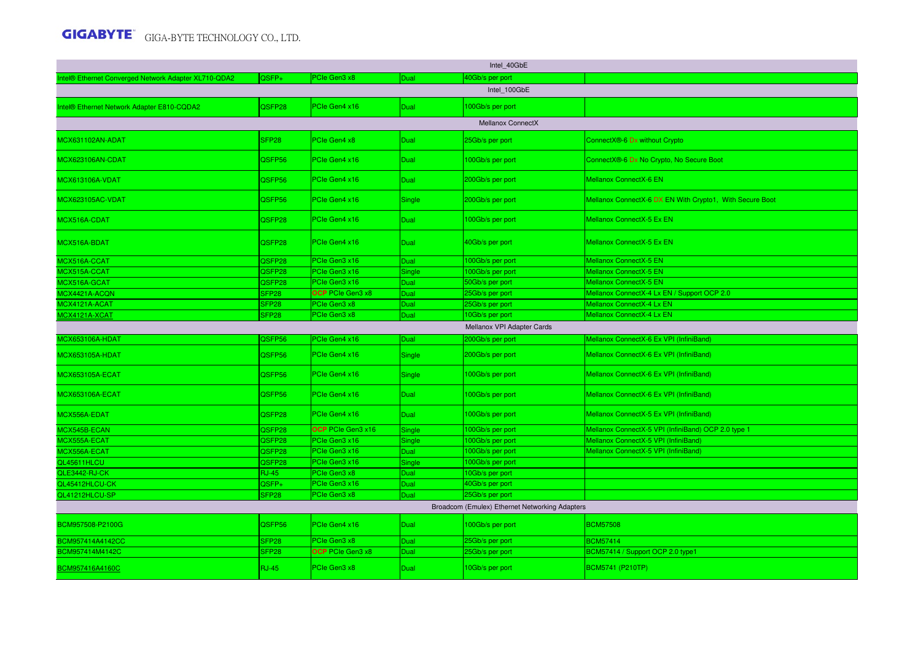| Intel 40GbE                                          |                   |                         |             |                                                |                                                          |  |  |  |  |  |  |
|------------------------------------------------------|-------------------|-------------------------|-------------|------------------------------------------------|----------------------------------------------------------|--|--|--|--|--|--|
| Intel® Ethernet Converged Network Adapter XL710-QDA2 | QSFP+             | PCIe Gen3 x8            | Dual        | 40Gb/s per port                                |                                                          |  |  |  |  |  |  |
|                                                      |                   |                         |             | Intel 100GbE                                   |                                                          |  |  |  |  |  |  |
| ntel® Ethernet Network Adapter E810-CQDA2            | QSFP28            | PCIe Gen4 x16           | <b>Dual</b> | 100Gb/s per port                               |                                                          |  |  |  |  |  |  |
|                                                      |                   |                         |             | <b>Mellanox ConnectX</b>                       |                                                          |  |  |  |  |  |  |
| MCX631102AN-ADAT                                     | SFP <sub>28</sub> | PCIe Gen4 x8            | Dual        | 25Gb/s per port                                | ConnectX <sup>®</sup> -6 Dx without Crypto               |  |  |  |  |  |  |
| MCX623106AN-CDAT                                     | QSFP56            | PCIe Gen4 x16           | <b>Dual</b> | 100Gb/s per port                               | ConnectX®-6 Dx No Crypto, No Secure Boot                 |  |  |  |  |  |  |
| MCX613106A-VDAT                                      | QSFP56            | PCIe Gen4 x16           | Dual        | 200Gb/s per port                               | Mellanox ConnectX-6 EN                                   |  |  |  |  |  |  |
| MCX623105AC-VDAT                                     | QSFP56            | PCIe Gen4 x16           | Single      | 200Gb/s per port                               | Mellanox ConnectX-6 DX EN With Crypto1, With Secure Boot |  |  |  |  |  |  |
| MCX516A-CDAT                                         | QSFP28            | PCIe Gen4 x16           | <b>Dual</b> | 100Gb/s per port                               | Mellanox ConnectX-5 Ex EN                                |  |  |  |  |  |  |
| MCX516A-BDAT                                         | QSFP28            | PCIe Gen4 x16           | <b>Dual</b> | 40Gb/s per port                                | Mellanox ConnectX-5 Ex EN                                |  |  |  |  |  |  |
| MCX516A-CCAT                                         | QSFP28            | PCIe Gen3 x16           | <b>Dual</b> | 100Gb/s per port                               | Mellanox ConnectX-5 EN                                   |  |  |  |  |  |  |
| MCX515A-CCAT                                         | QSFP28            | PCle Gen3 x16           | Single      | 100Gb/s per port                               | <b>Mellanox ConnectX-5 EN</b>                            |  |  |  |  |  |  |
| MCX516A-GCAT                                         | QSFP28            | PCIe Gen3 x16           | <b>Dual</b> | 50Gb/s per port                                | Mellanox ConnectX-5 EN                                   |  |  |  |  |  |  |
| MCX4421A-ACQN                                        | SFP <sub>28</sub> | <b>OCP</b> PCIe Gen3 x8 | Dual        | 25Gb/s per port                                | Mellanox ConnectX-4 Lx EN / Support OCP 2.0              |  |  |  |  |  |  |
| MCX4121A-ACAT                                        | SFP <sub>28</sub> | PCIe Gen3 x8            | Dual        | 25Gb/s per port                                | Mellanox ConnectX-4 Lx EN                                |  |  |  |  |  |  |
| MCX4121A-XCAT                                        | SFP <sub>28</sub> | PCIe Gen3 x8            | Dual        | 10Gb/s per port                                | Mellanox ConnectX-4 Lx EN                                |  |  |  |  |  |  |
|                                                      |                   |                         |             | Mellanox VPI Adapter Cards                     |                                                          |  |  |  |  |  |  |
| <b>MCX653106A-HDAT</b>                               | QSFP56            | PCIe Gen4 x16           | Dual        | 200Gb/s per port                               | Mellanox ConnectX-6 Ex VPI (InfiniBand)                  |  |  |  |  |  |  |
|                                                      |                   |                         |             |                                                |                                                          |  |  |  |  |  |  |
| <b>MCX653105A-HDAT</b>                               | QSFP56            | PCIe Gen4 x16           | Single      | 200Gb/s per port                               | Mellanox ConnectX-6 Ex VPI (InfiniBand)                  |  |  |  |  |  |  |
| <b>MCX653105A-ECAT</b>                               | QSFP56            | PCIe Gen4 x16           | Single      | 00Gb/s per port                                | Mellanox ConnectX-6 Ex VPI (InfiniBand)                  |  |  |  |  |  |  |
| <b>MCX653106A-ECAT</b>                               | QSFP56            | PCIe Gen4 x16           | <b>Dual</b> | 100Gb/s per port                               | Mellanox ConnectX-6 Ex VPI (InfiniBand)                  |  |  |  |  |  |  |
| MCX556A-EDAT                                         | QSFP28            | PCIe Gen4 x16           | <b>Dual</b> | 100Gb/s per port                               | Mellanox ConnectX-5 Ex VPI (InfiniBand)                  |  |  |  |  |  |  |
| MCX545B-ECAN                                         | QSFP28            | OCP PCIe Gen3 x16       | Single      | 100Gb/s per port                               | Mellanox ConnectX-5 VPI (InfiniBand) OCP 2.0 type 1      |  |  |  |  |  |  |
| MCX555A-ECAT                                         | QSFP28            | PCIe Gen3 x16           | Single      | 00Gb/s per port                                | Mellanox ConnectX-5 VPI (InfiniBand)                     |  |  |  |  |  |  |
| MCX556A-ECAT                                         | QSFP28            | PCIe Gen3 x16           | Dual        | 00Gb/s per port                                | Mellanox ConnectX-5 VPI (InfiniBand)                     |  |  |  |  |  |  |
| QL45611HLCU                                          | QSFP28            | PCIe Gen3 x16           | Single      | 100Gb/s per port                               |                                                          |  |  |  |  |  |  |
| QLE3442-RJ-CK                                        | <b>RJ-45</b>      | PCIe Gen3 x8            | Dual        | 10Gb/s per port                                |                                                          |  |  |  |  |  |  |
| QL45412HLCU-CK                                       | QSFP+             | PCIe Gen3 x16           | Dual        | 40Gb/s per port                                |                                                          |  |  |  |  |  |  |
| QL41212HLCU-SP                                       | SFP <sub>28</sub> | PCIe Gen3 x8            | Dual        | 25Gb/s per port                                |                                                          |  |  |  |  |  |  |
|                                                      |                   |                         |             | Broadcom (Emulex) Ethernet Networking Adapters |                                                          |  |  |  |  |  |  |
| BCM957508-P2100G                                     | QSFP56            | PCIe Gen4 x16           | Dual        | 100Gb/s per port                               | <b>BCM57508</b>                                          |  |  |  |  |  |  |
| BCM957414A4142CC                                     | SFP <sub>28</sub> | PCIe Gen3 x8            | Dual        | 25Gb/s per port                                | <b>BCM57414</b>                                          |  |  |  |  |  |  |
| BCM957414M4142C                                      | SFP <sub>28</sub> | <b>OCP</b> PCIe Gen3 x8 | Dual        | '5Gb/s per port                                | BCM57414 / Support OCP 2.0 type1                         |  |  |  |  |  |  |